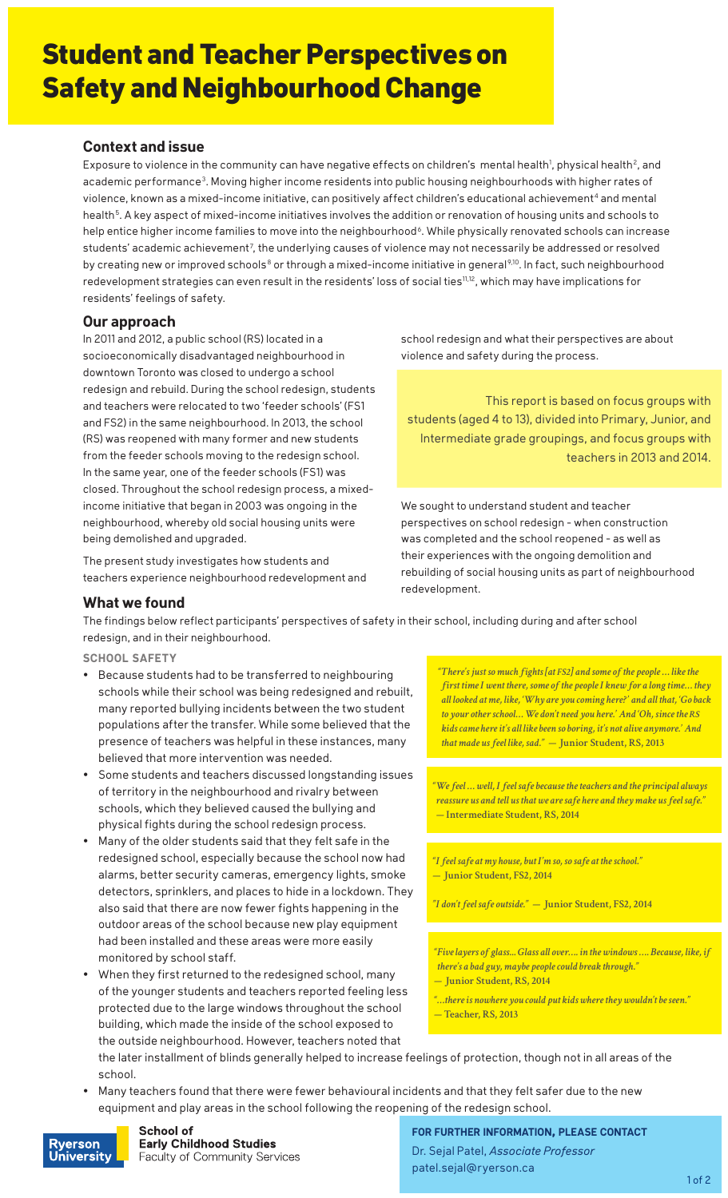# Student and Teacher Perspectives on Safety and Neighbourhood Change

## **Context and issue**

Exposure to violence in the community can have negative effects on children's mental health<sup>1</sup>, physical health<sup>2</sup>, and academic performance<sup>3</sup>. Moving higher income residents into public housing neighbourhoods with higher rates of violence, known as a mixed-income initiative, can positively affect children's educational achievement<sup>4</sup> and mental health<sup>5</sup>. A key aspect of mixed-income initiatives involves the addition or renovation of housing units and schools to help entice higher income families to move into the neighbourhood<sup>6</sup>. While physically renovated schools can increase students' academic achievement<sup>7</sup>, the underlying causes of violence may not necessarily be addressed or resolved by creating new or improved schools<sup>8</sup> or through a mixed-income initiative in general<sup>9,10</sup>. In fact, such neighbourhood redevelopment strategies can even result in the residents' loss of social ties<sup>11,12</sup>, which may have implications for residents' feelings of safety.

### **Our approach**

In 2011 and 2012, a public school (RS) located in a socioeconomically disadvantaged neighbourhood in downtown Toronto was closed to undergo a school redesign and rebuild. During the school redesign, students and teachers were relocated to two 'feeder schools' (FS1 and FS2) in the same neighbourhood. In 2013, the school (RS) was reopened with many former and new students from the feeder schools moving to the redesign school. In the same year, one of the feeder schools (FS1) was closed. Throughout the school redesign process, a mixedincome initiative that began in 2003 was ongoing in the neighbourhood, whereby old social housing units were being demolished and upgraded.

The present study investigates how students and teachers experience neighbourhood redevelopment and school redesign and what their perspectives are about violence and safety during the process.

This report is based on focus groups with students (aged 4 to 13), divided into Primary, Junior, and Intermediate grade groupings, and focus groups with teachers in 2013 and 2014.

We sought to understand student and teacher perspectives on school redesign - when construction was completed and the school reopened - as well as their experiences with the ongoing demolition and rebuilding of social housing units as part of neighbourhood redevelopment.

# **What we found**

The findings below reflect participants' perspectives of safety in their school, including during and after school redesign, and in their neighbourhood.

**school safety**

- Because students had to be transferred to neighbouring schools while their school was being redesigned and rebuilt, many reported bullying incidents between the two student populations after the transfer. While some believed that the presence of teachers was helpful in these instances, many believed that more intervention was needed.
- Some students and teachers discussed longstanding issues of territory in the neighbourhood and rivalry between schools, which they believed caused the bullying and physical fights during the school redesign process.
- Many of the older students said that they felt safe in the redesigned school, especially because the school now had alarms, better security cameras, emergency lights, smoke detectors, sprinklers, and places to hide in a lockdown. They also said that there are now fewer fights happening in the outdoor areas of the school because new play equipment had been installed and these areas were more easily monitored by school staff.
- When they first returned to the redesigned school, many of the younger students and teachers reported feeling less protected due to the large windows throughout the school building, which made the inside of the school exposed to the outside neighbourhood. However, teachers noted that

*"There's just so much fights [at FS2] and some of the people … like the first time I went there, some of the people I knew for a long time… they all looked at me, like, 'Why are you coming here?' and all that, 'Go back to your other school… We don't need you here.' And 'Oh, since the RS kids came here it's all like been so boring, it's not alive anymore.' And that made us feel like, sad." —* **Junior Student, RS, 2013**

*"We feel … well, I feel safe because the teachers and the principal always reassure us and tell us that we are safe here and they make us feel safe." —* **Intermediate Student, RS, 2014**

*"I feel safe at my house, but I'm so, so safe at the school." —* **Junior Student, FS2, 2014**

*"I don't feel safe outside." —* **Junior Student, FS2, 2014**

*"Five layers of glass... Glass all over…. in the windows …. Because, like, if there's a bad guy, maybe people could break through."* 

- *—* **Junior Student, RS, 2014**
- *"…there is nowhere you could put kids where they wouldn't be seen." —* **Teacher, RS, 2013**
- the later installment of blinds generally helped to increase feelings of protection, though not in all areas of the school.
- Many teachers found that there were fewer behavioural incidents and that they felt safer due to the new equipment and play areas in the school following the reopening of the redesign school.



**School of Early Childhood Studies Faculty of Community Services**  **for further information, please contact** Dr. Sejal Patel, *Associate Professor* patel.sejal@ryerson.ca